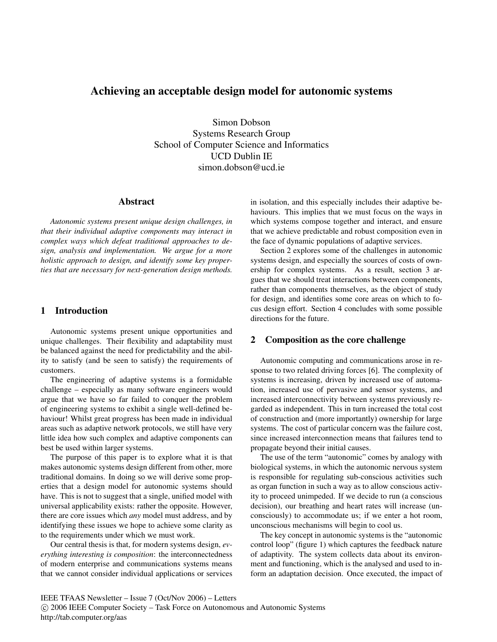# Achieving an acceptable design model for autonomic systems

Simon Dobson Systems Research Group School of Computer Science and Informatics UCD Dublin IE simon.dobson@ucd.ie

## Abstract

*Autonomic systems present unique design challenges, in that their individual adaptive components may interact in complex ways which defeat traditional approaches to design, analysis and implementation. We argue for a more holistic approach to design, and identify some key properties that are necessary for next-generation design methods.*

## 1 Introduction

Autonomic systems present unique opportunities and unique challenges. Their flexibility and adaptability must be balanced against the need for predictability and the ability to satisfy (and be seen to satisfy) the requirements of customers.

The engineering of adaptive systems is a formidable challenge – especially as many software engineers would argue that we have so far failed to conquer the problem of engineering systems to exhibit a single well-defined behaviour! Whilst great progress has been made in individual areas such as adaptive network protocols, we still have very little idea how such complex and adaptive components can best be used within larger systems.

The purpose of this paper is to explore what it is that makes autonomic systems design different from other, more traditional domains. In doing so we will derive some properties that a design model for autonomic systems should have. This is not to suggest that a single, unified model with universal applicability exists: rather the opposite. However, there are core issues which *any* model must address, and by identifying these issues we hope to achieve some clarity as to the requirements under which we must work.

Our central thesis is that, for modern systems design, *everything interesting is composition*: the interconnectedness of modern enterprise and communications systems means that we cannot consider individual applications or services in isolation, and this especially includes their adaptive behaviours. This implies that we must focus on the ways in which systems compose together and interact, and ensure that we achieve predictable and robust composition even in the face of dynamic populations of adaptive services.

Section 2 explores some of the challenges in autonomic systems design, and especially the sources of costs of ownership for complex systems. As a result, section 3 argues that we should treat interactions between components, rather than components themselves, as the object of study for design, and identifies some core areas on which to focus design effort. Section 4 concludes with some possible directions for the future.

## 2 Composition as the core challenge

Autonomic computing and communications arose in response to two related driving forces [6]. The complexity of systems is increasing, driven by increased use of automation, increased use of pervasive and sensor systems, and increased interconnectivity between systems previously regarded as independent. This in turn increased the total cost of construction and (more importantly) ownership for large systems. The cost of particular concern was the failure cost, since increased interconnection means that failures tend to propagate beyond their initial causes.

The use of the term "autonomic" comes by analogy with biological systems, in which the autonomic nervous system is responsible for regulating sub-conscious activities such as organ function in such a way as to allow conscious activity to proceed unimpeded. If we decide to run (a conscious decision), our breathing and heart rates will increase (unconsciously) to accommodate us; if we enter a hot room, unconscious mechanisms will begin to cool us.

The key concept in autonomic systems is the "autonomic control loop" (figure 1) which captures the feedback nature of adaptivity. The system collects data about its environment and functioning, which is the analysed and used to inform an adaptation decision. Once executed, the impact of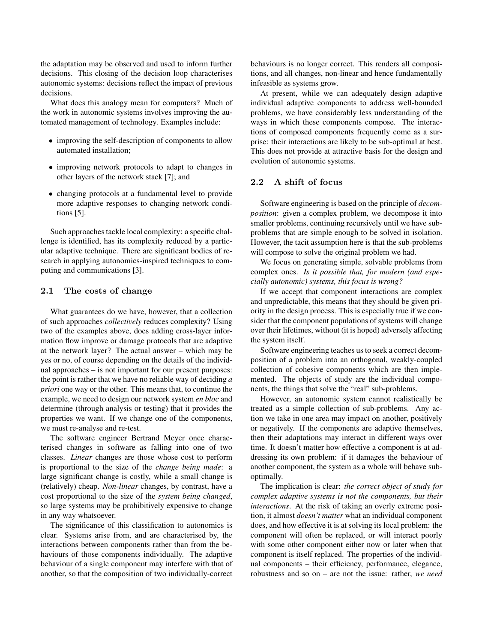the adaptation may be observed and used to inform further decisions. This closing of the decision loop characterises autonomic systems: decisions reflect the impact of previous decisions.

What does this analogy mean for computers? Much of the work in autonomic systems involves improving the automated management of technology. Examples include:

- improving the self-description of components to allow automated installation;
- improving network protocols to adapt to changes in other layers of the network stack [7]; and
- changing protocols at a fundamental level to provide more adaptive responses to changing network conditions [5].

Such approaches tackle local complexity: a specific challenge is identified, has its complexity reduced by a particular adaptive technique. There are significant bodies of research in applying autonomics-inspired techniques to computing and communications [3].

#### 2.1 The costs of change

What guarantees do we have, however, that a collection of such approaches *collectively* reduces complexity? Using two of the examples above, does adding cross-layer information flow improve or damage protocols that are adaptive at the network layer? The actual answer – which may be yes or no, of course depending on the details of the individual approaches – is not important for our present purposes: the point is rather that we have no reliable way of deciding *a priori* one way or the other. This means that, to continue the example, we need to design our network system *en bloc* and determine (through analysis or testing) that it provides the properties we want. If we change one of the components, we must re-analyse and re-test.

The software engineer Bertrand Meyer once characterised changes in software as falling into one of two classes. *Linear* changes are those whose cost to perform is proportional to the size of the *change being made*: a large significant change is costly, while a small change is (relatively) cheap. *Non-linear* changes, by contrast, have a cost proportional to the size of the *system being changed*, so large systems may be prohibitively expensive to change in any way whatsoever.

The significance of this classification to autonomics is clear. Systems arise from, and are characterised by, the interactions between components rather than from the behaviours of those components individually. The adaptive behaviour of a single component may interfere with that of another, so that the composition of two individually-correct

behaviours is no longer correct. This renders all compositions, and all changes, non-linear and hence fundamentally infeasible as systems grow.

At present, while we can adequately design adaptive individual adaptive components to address well-bounded problems, we have considerably less understanding of the ways in which these components compose. The interactions of composed components frequently come as a surprise: their interactions are likely to be sub-optimal at best. This does not provide at attractive basis for the design and evolution of autonomic systems.

## 2.2 A shift of focus

Software engineering is based on the principle of *decomposition*: given a complex problem, we decompose it into smaller problems, continuing recursively until we have subproblems that are simple enough to be solved in isolation. However, the tacit assumption here is that the sub-problems will compose to solve the original problem we had.

We focus on generating simple, solvable problems from complex ones. *Is it possible that, for modern (and especially autonomic) systems, this focus is wrong?*

If we accept that component interactions are complex and unpredictable, this means that they should be given priority in the design process. This is especially true if we consider that the component populations of systems will change over their lifetimes, without (it is hoped) adversely affecting the system itself.

Software engineering teaches us to seek a correct decomposition of a problem into an orthogonal, weakly-coupled collection of cohesive components which are then implemented. The objects of study are the individual components, the things that solve the "real" sub-problems.

However, an autonomic system cannot realistically be treated as a simple collection of sub-problems. Any action we take in one area may impact on another, positively or negatively. If the components are adaptive themselves, then their adaptations may interact in different ways over time. It doesn't matter how effective a component is at addressing its own problem: if it damages the behaviour of another component, the system as a whole will behave suboptimally.

The implication is clear: *the correct object of study for complex adaptive systems is not the components, but their interactions*. At the risk of taking an overly extreme position, it almost *doesn't matter* what an individual component does, and how effective it is at solving its local problem: the component will often be replaced, or will interact poorly with some other component either now or later when that component is itself replaced. The properties of the individual components – their efficiency, performance, elegance, robustness and so on – are not the issue: rather, *we need*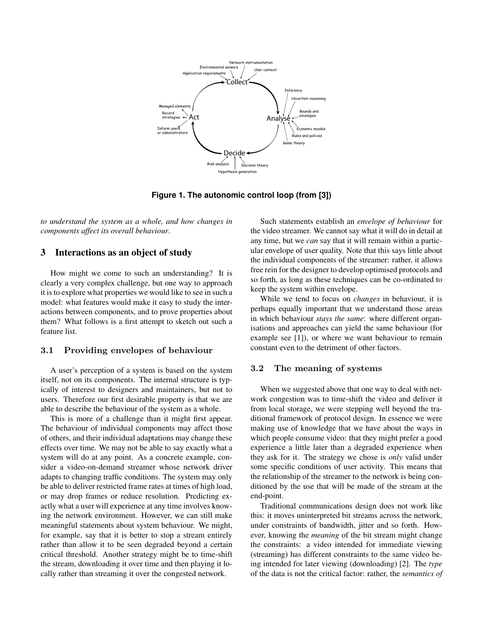

**Figure 1. The autonomic control loop (from [3])**

*to understand the system as a whole, and how changes in components affect its overall behaviour*.

#### 3 Interactions as an object of study

How might we come to such an understanding? It is clearly a very complex challenge, but one way to approach it is to explore what properties we would like to see in such a model: what features would make it easy to study the interactions between components, and to prove properties about them? What follows is a first attempt to sketch out such a feature list.

#### 3.1 Providing envelopes of behaviour

A user's perception of a system is based on the system itself, not on its components. The internal structure is typically of interest to designers and maintainers, but not to users. Therefore our first desirable property is that we are able to describe the behaviour of the system as a whole.

This is more of a challenge than it might first appear. The behaviour of individual components may affect those of others, and their individual adaptations may change these effects over time. We may not be able to say exactly what a system will do at any point. As a concrete example, consider a video-on-demand streamer whose network driver adapts to changing traffic conditions. The system may only be able to deliver restricted frame rates at times of high load, or may drop frames or reduce resolution. Predicting exactly what a user will experience at any time involves knowing the network environment. However, we can still make meaningful statements about system behaviour. We might, for example, say that it is better to stop a stream entirely rather than allow it to be seen degraded beyond a certain critical threshold. Another strategy might be to time-shift the stream, downloading it over time and then playing it locally rather than streaming it over the congested network.

Such statements establish an *envelope of behaviour* for the video streamer. We cannot say what it will do in detail at any time, but we *can* say that it will remain within a particular envelope of user quality. Note that this says little about the individual components of the streamer: rather, it allows free rein for the designer to develop optimised protocols and so forth, as long as these techniques can be co-ordinated to keep the system within envelope.

While we tend to focus on *changes* in behaviour, it is perhaps equally important that we understand those areas in which behaviour *stays the same*: where different organisations and approaches can yield the same behaviour (for example see [1]), or where we want behaviour to remain constant even to the detriment of other factors.

#### 3.2 The meaning of systems

When we suggested above that one way to deal with network congestion was to time-shift the video and deliver it from local storage, we were stepping well beyond the traditional framework of protocol design. In essence we were making use of knowledge that we have about the ways in which people consume video: that they might prefer a good experience a little later than a degraded experience when they ask for it. The strategy we chose is *only* valid under some specific conditions of user activity. This means that the relationship of the streamer to the network is being conditioned by the use that will be made of the stream at the end-point.

Traditional communications design does not work like this: it moves uninterpreted bit streams across the network, under constraints of bandwidth, jitter and so forth. However, knowing the *meaning* of the bit stream might change the constraints: a video intended for immediate viewing (streaming) has different constraints to the same video being intended for later viewing (downloading) [2]. The *type* of the data is not the critical factor: rather, the *semantics of*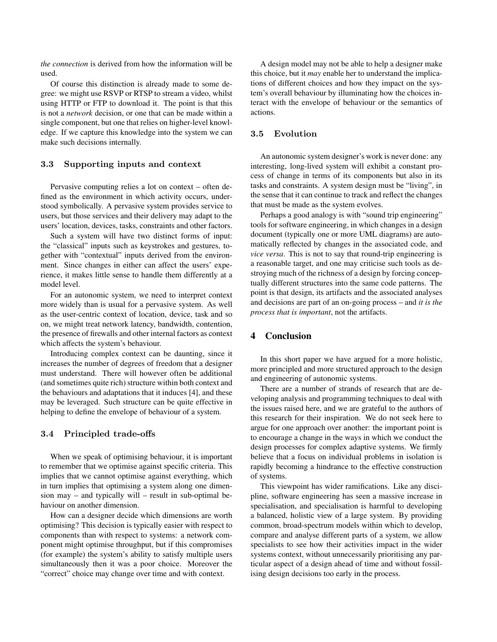*the connection* is derived from how the information will be used.

Of course this distinction is already made to some degree: we might use RSVP or RTSP to stream a video, whilst using HTTP or FTP to download it. The point is that this is not a *network* decision, or one that can be made within a single component, but one that relies on higher-level knowledge. If we capture this knowledge into the system we can make such decisions internally.

#### 3.3 Supporting inputs and context

Pervasive computing relies a lot on context – often defined as the environment in which activity occurs, understood symbolically. A pervasive system provides service to users, but those services and their delivery may adapt to the users' location, devices, tasks, constraints and other factors.

Such a system will have two distinct forms of input: the "classical" inputs such as keystrokes and gestures, together with "contextual" inputs derived from the environment. Since changes in either can affect the users' experience, it makes little sense to handle them differently at a model level.

For an autonomic system, we need to interpret context more widely than is usual for a pervasive system. As well as the user-centric context of location, device, task and so on, we might treat network latency, bandwidth, contention, the presence of firewalls and other internal factors as context which affects the system's behaviour.

Introducing complex context can be daunting, since it increases the number of degrees of freedom that a designer must understand. There will however often be additional (and sometimes quite rich) structure within both context and the behaviours and adaptations that it induces [4], and these may be leveraged. Such structure can be quite effective in helping to define the envelope of behaviour of a system.

#### 3.4 Principled trade-offs

When we speak of optimising behaviour, it is important to remember that we optimise against specific criteria. This implies that we cannot optimise against everything, which in turn implies that optimising a system along one dimension may – and typically will – result in sub-optimal behaviour on another dimension.

How can a designer decide which dimensions are worth optimising? This decision is typically easier with respect to components than with respect to systems: a network component might optimise throughput, but if this compromises (for example) the system's ability to satisfy multiple users simultaneously then it was a poor choice. Moreover the "correct" choice may change over time and with context.

A design model may not be able to help a designer make this choice, but it *may* enable her to understand the implications of different choices and how they impact on the system's overall behaviour by illuminating how the choices interact with the envelope of behaviour or the semantics of actions.

## 3.5 Evolution

An autonomic system designer's work is never done: any interesting, long-lived system will exhibit a constant process of change in terms of its components but also in its tasks and constraints. A system design must be "living", in the sense that it can continue to track and reflect the changes that must be made as the system evolves.

Perhaps a good analogy is with "sound trip engineering" tools for software engineering, in which changes in a design document (typically one or more UML diagrams) are automatically reflected by changes in the associated code, and *vice versa*. This is not to say that round-trip engineering is a reasonable target, and one may criticise such tools as destroying much of the richness of a design by forcing conceptually different structures into the same code patterns. The point is that design, its artifacts and the associated analyses and decisions are part of an on-going process – and *it is the process that is important*, not the artifacts.

## 4 Conclusion

In this short paper we have argued for a more holistic, more principled and more structured approach to the design and engineering of autonomic systems.

There are a number of strands of research that are developing analysis and programming techniques to deal with the issues raised here, and we are grateful to the authors of this research for their inspiration. We do not seek here to argue for one approach over another: the important point is to encourage a change in the ways in which we conduct the design processes for complex adaptive systems. We firmly believe that a focus on individual problems in isolation is rapidly becoming a hindrance to the effective construction of systems.

This viewpoint has wider ramifications. Like any discipline, software engineering has seen a massive increase in specialisation, and specialisation is harmful to developing a balanced, holistic view of a large system. By providing common, broad-spectrum models within which to develop, compare and analyse different parts of a system, we allow specialists to see how their activities impact in the wider systems context, without unnecessarily prioritising any particular aspect of a design ahead of time and without fossilising design decisions too early in the process.